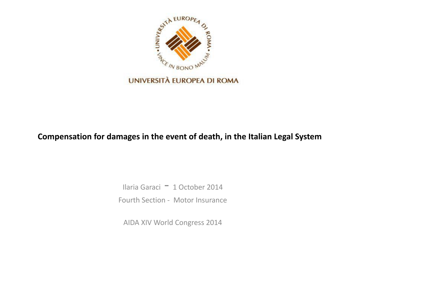

#### **Compensation for damages in the event of death, in the Italian Legal System**

Ilaria Garaci - 1 October 2014 Fourth Section - Motor Insurance

AIDA XIV World Congress 2014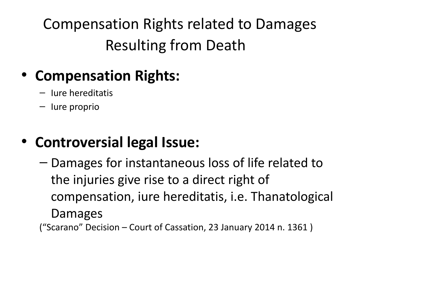Compensation Rights related to Damages Resulting from Death

### • **Compensation Rights:**

- Iure hereditatis
- Iure proprio

### • **Controversial legal Issue:**

– Damages for instantaneous loss of life related to the injuries give rise to a direct right of compensation, iure hereditatis, i.e. Thanatological Damages

("Scarano" Decision – Court of Cassation, 23 January 2014 n. 1361 )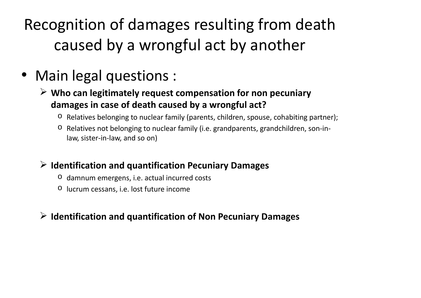Recognition of damages resulting from death caused by a wrongful act by another

### • Main legal questions :

- **Who can legitimately request compensation for non pecuniary damages in case of death caused by a wrongful act?**
	- o Relatives belonging to nuclear family (parents, children, spouse, cohabiting partner);
	- o Relatives not belonging to nuclear family (i.e. grandparents, grandchildren, son-inlaw, sister-in-law, and so on)

#### **Identification and quantification Pecuniary Damages**

- o damnum emergens, i.e. actual incurred costs
- o lucrum cessans, i.e. lost future income

#### **Identification and quantification of Non Pecuniary Damages**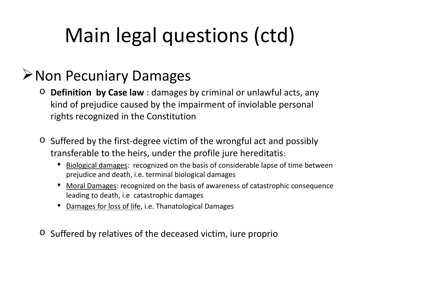# Main legal questions (ctd)

#### **≻Non Pecuniary Damages**

- o **Definition by Case law** : damages by criminal or unlawful acts, any kind of prejudice caused by the impairment of inviolable personal rights recognized in the Constitution
- $\circ$  Suffered by the first-degree victim of the wrongful act and possibly transferable to the heirs, under the profile jure hereditatis:
	- Biological damages: recognized on the basis of considerable lapse of time between prejudice and death, i.e. terminal biological damages
	- Moral Damages: recognized on the basis of awareness of catastrophic consequence leading to death, i.e catastrophic damages
	- Damages for loss of life, i.e. Thanatological Damages
- o Suffered by relatives of the deceased victim, iure proprio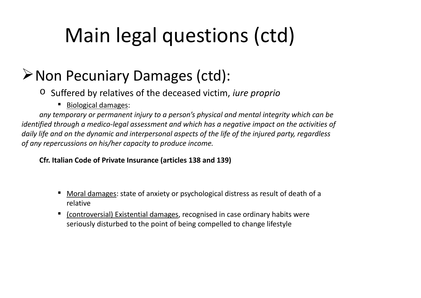# Main legal questions (ctd)

## Non Pecuniary Damages (ctd):

- o Suffered by relatives of the deceased victim, *iure proprio*
	- **Biological damages:**

*any temporary or permanent injury to a person's physical and mental integrity which can be identified through a medico-legal assessment and which has a negative impact on the activities of daily life and on the dynamic and interpersonal aspects of the life of the injured party, regardless of any repercussions on his/her capacity to produce income.*

**Cfr. Italian Code of Private Insurance (articles 138 and 139)**

- Moral damages: state of anxiety or psychological distress as result of death of a relative
- (controversial) Existential damages, recognised in case ordinary habits were seriously disturbed to the point of being compelled to change lifestyle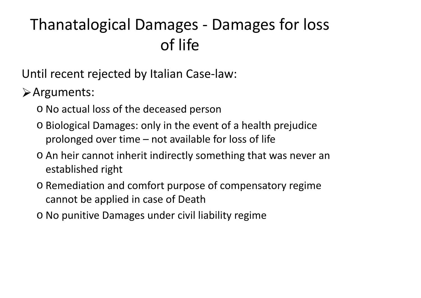## Thanatalogical Damages - Damages for loss of life

Until recent rejected by Italian Case-law:

Arguments:

- o No actual loss of the deceased person
- o Biological Damages: only in the event of a health prejudice prolonged over time – not available for loss of life
- o An heir cannot inherit indirectly something that was never an established right
- o Remediation and comfort purpose of compensatory regime cannot be applied in case of Death
- o No punitive Damages under civil liability regime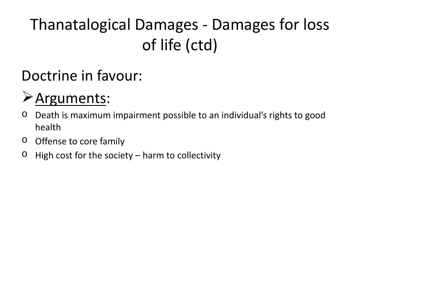# Thanatalogical Damages - Damages for loss of life (ctd)

## Doctrine in favour:

## Arguments:

- o Death is maximum impairment possible to an individual's rights to good health
- o Offense to core family
- $\circ$  High cost for the society harm to collectivity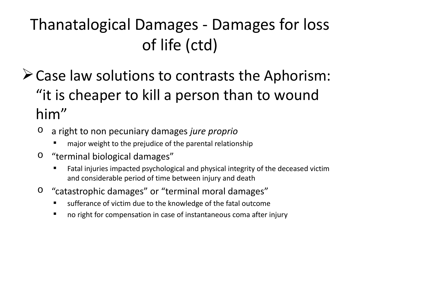# Thanatalogical Damages - Damages for loss of life (ctd)

- Case law solutions to contrasts the Aphorism: "it is cheaper to kill a person than to wound him"
	- o a right to non pecuniary damages *jure proprio*
		- major weight to the prejudice of the parental relationship
	- o "terminal biological damages"
		- Fatal injuries impacted psychological and physical integrity of the deceased victim and considerable period of time between injury and death
	- o "catastrophic damages" or "terminal moral damages"
		- sufferance of victim due to the knowledge of the fatal outcome
		- no right for compensation in case of instantaneous coma after injury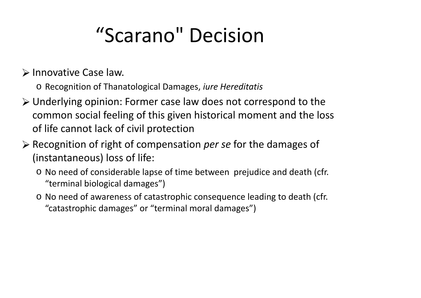# "Scarano" Decision

 $\triangleright$  Innovative Case law.

- o Recognition of Thanatological Damages, *iure Hereditatis*
- Underlying opinion: Former case law does not correspond to the common social feeling of this given historical moment and the loss of life cannot lack of civil protection
- Recognition of right of compensation *per se* for the damages of (instantaneous) loss of life:
	- o No need of considerable lapse of time between prejudice and death (cfr. "terminal biological damages")
	- o No need of awareness of catastrophic consequence leading to death (cfr. "catastrophic damages" or "terminal moral damages")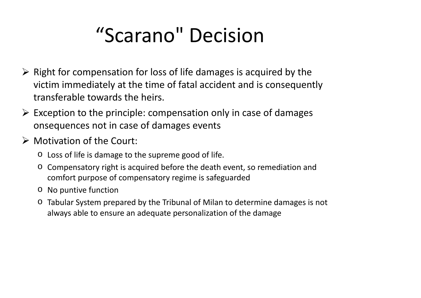# "Scarano" Decision

- $\triangleright$  Right for compensation for loss of life damages is acquired by the victim immediately at the time of fatal accident and is consequently transferable towards the heirs.
- $\triangleright$  Exception to the principle: compensation only in case of damages onsequences not in case of damages events
- $\triangleright$  Motivation of the Court:
	- o Loss of life is damage to the supreme good of life.
	- o Compensatory right is acquired before the death event, so remediation and comfort purpose of compensatory regime is safeguarded
	- o No puntive function
	- o Tabular System prepared by the Tribunal of Milan to determine damages is not always able to ensure an adequate personalization of the damage